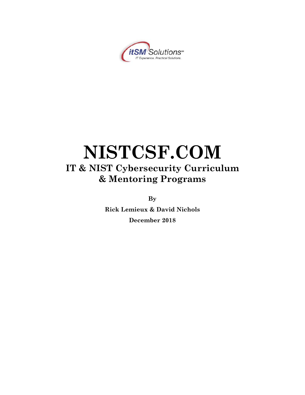

# **NISTCSF.COM IT & NIST Cybersecurity Curriculum & Mentoring Programs**

**By**

**Rick Lemieux & David Nichols December 2018**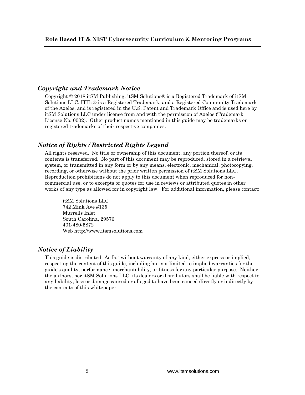### *Copyright and Trademark Notice*

Copyright © 2018 itSM Publishing. itSM Solutions® is a Registered Trademark of itSM Solutions LLC. ITIL ® is a Registered Trademark, and a Registered Community Trademark of the Axelos, and is registered in the U.S. Patent and Trademark Office and is used here by itSM Solutions LLC under license from and with the permission of Axelos (Trademark License No. 0002). Other product names mentioned in this guide may be trademarks or registered trademarks of their respective companies.

# *Notice of Rights / Restricted Rights Legend*

All rights reserved. No title or ownership of this document, any portion thereof, or its contents is transferred. No part of this document may be reproduced, stored in a retrieval system, or transmitted in any form or by any means, electronic, mechanical, photocopying, recording, or otherwise without the prior written permission of itSM Solutions LLC. Reproduction prohibitions do not apply to this document when reproduced for noncommercial use, or to excerpts or quotes for use in reviews or attributed quotes in other works of any type as allowed for in copyright law. For additional information, please contact:

itSM Solutions LLC 742 Mink Ave #135 Murrells Inlet South Carolina, 29576 401-480-5872 Web http://www.itsmsolutions.com

### *Notice of Liability*

This guide is distributed "As Is," without warranty of any kind, either express or implied, respecting the content of this guide, including but not limited to implied warranties for the guide's quality, performance, merchantability, or fitness for any particular purpose. Neither the authors, nor itSM Solutions LLC, its dealers or distributors shall be liable with respect to any liability, loss or damage caused or alleged to have been caused directly or indirectly by the contents of this whitepaper.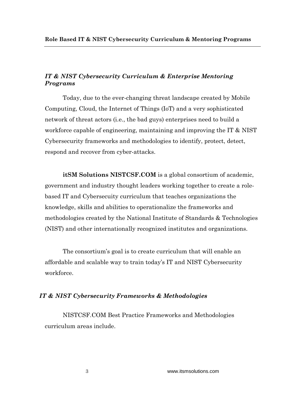# *IT & NIST Cybersecurity Curriculum & Enterprise Mentoring Programs*

Today, due to the ever-changing threat landscape created by Mobile Computing, Cloud, the Internet of Things (IoT) and a very sophisticated network of threat actors (i.e., the bad guys) enterprises need to build a workforce capable of engineering, maintaining and improving the IT & NIST Cybersecurity frameworks and methodologies to identify, protect, detect, respond and recover from cyber-attacks.

**itSM Solutions NISTCSF.COM** is a global consortium of academic, government and industry thought leaders working together to create a rolebased IT and Cybersecuity curriculum that teaches organizations the knowledge, skills and abilities to operationalize the frameworks and methodologies created by the National Institute of Standards & Technologies (NIST) and other internationally recognized institutes and organizations.

The consortium's goal is to create curriculum that will enable an affordable and scalable way to train today's IT and NIST Cybersecurity workforce.

### *IT & NIST Cybersecurity Frameworks & Methodologies*

NISTCSF.COM Best Practice Frameworks and Methodologies curriculum areas include.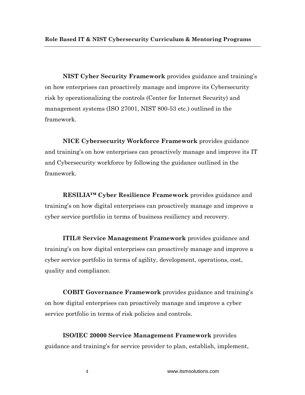**NIST Cyber Security Framework** provides guidance and training's on how enterprises can proactively manage and improve its Cybersecurity risk by operationalizing the controls (Center for Internet Security) and management systems (ISO 27001, NIST 800-53 etc.) outlined in the framework.

**NICE Cybersecurity Workforce Framework** provides guidance and training's on how enterprises can proactively manage and improve its IT and Cybersecurity workforce by following the guidance outlined in the framework.

**RESILIA™ Cyber Resilience Framework** provides guidance and training's on how digital enterprises can proactively manage and improve a cyber service portfolio in terms of business resiliency and recovery.

**ITIL® Service Management Framework** provides guidance and training's on how digital enterprises can proactively manage and improve a cyber service portfolio in terms of agility, development, operations, cost, quality and compliance.

**COBIT Governance Framework** provides guidance and training's on how digital enterprises can proactively manage and improve a cyber service portfolio in terms of risk policies and controls.

**ISO/IEC 20000 Service Management Framework** provides guidance and training's for service provider to plan, establish, implement,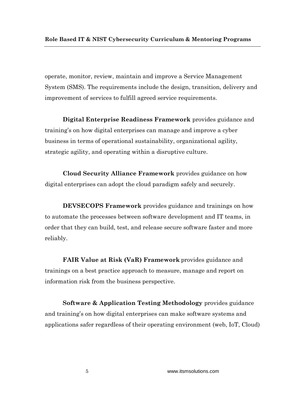operate, monitor, review, maintain and improve a Service Management System (SMS). The requirements include the design, transition, delivery and improvement of services to fulfill agreed service requirements.

**Digital Enterprise Readiness Framework** provides guidance and training's on how digital enterprises can manage and improve a cyber business in terms of operational sustainability, organizational agility, strategic agility, and operating within a disruptive culture.

**Cloud Security Alliance Framework** provides guidance on how digital enterprises can adopt the cloud paradigm safely and securely.

**DEVSECOPS Framework** provides guidance and trainings on how to automate the processes between software development and IT teams, in order that they can build, test, and release secure software faster and more reliably.

**FAIR Value at Risk (VaR) Framework** provides guidance and trainings on a best practice approach to measure, manage and report on information risk from the business perspective.

**Software & Application Testing Methodology** provides guidance and training's on how digital enterprises can make software systems and applications safer regardless of their operating environment (web, IoT, Cloud)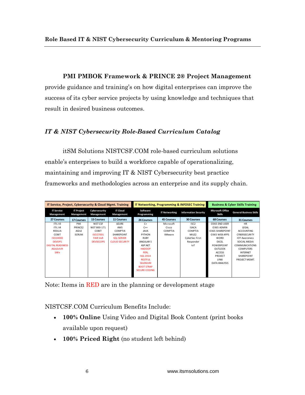**PMI PMBOK Framework & PRINCE 2® Project Management** 

provide guidance and training's on how digital enterprises can improve the success of its cyber service projects by using knowledge and techniques that result in desired business outcomes.

# *IT & NIST Cybersecurity Role-Based Curriculum Catalog*

itSM Solutions NISTCSF.COM role-based curriculum solutions enable's enterprises to build a workforce capable of operationalizing, maintaining and improving IT & NIST Cybersecurity best practice frameworks and methodologies across an enterprise and its supply chain.

| IT Service, Project, Cybersecurity & Cloud Mgmt. Training |                                 |                             | <b>IT Networking, Programming &amp; INFOSEC Training</b> |                         | <b>Business &amp; Cyber Skills Training</b> |                             |                                          |                                |
|-----------------------------------------------------------|---------------------------------|-----------------------------|----------------------------------------------------------|-------------------------|---------------------------------------------|-----------------------------|------------------------------------------|--------------------------------|
| <b>IT Service</b><br>Management                           | <b>IT Project</b><br>Management | Cybersecurity<br>Management | <b>IT Cloud</b><br>Management                            | Software<br>Programming | <b>IT Networking</b>                        | <b>Information Security</b> | <b>Microsoft Office</b><br><b>Skills</b> | <b>General Business Skills</b> |
| 27 Courses                                                | <b>17 Courses</b>               | <b>15 Courses</b>           | <b>11 Courses</b>                                        | 24 Courses              | <b>45 Courses</b>                           | <b>30 Courses</b>           | <b>68 Courses</b>                        | <b>31 Courses</b>              |
| ITIL V3                                                   | PMI                             | NIST CSF                    | <b>AZURE</b>                                             | $C+$                    | Microsoft                                   | ISC <sub>2</sub>            | O365 END USER                            | <b>HR</b>                      |
| ITIL V4                                                   | PRINCE2                         | NIST 800-171                | AWS                                                      | $C++$                   | Cisco                                       | <b>ISACA</b>                | 0365 ADMIN                               | LEGAL                          |
| RESILIA                                                   | <b>AGILE</b>                    | COBIT                       | COMPTIA                                                  | <b>JAVA</b>             | COMPTIA                                     | COMPTIA                     | <b>0365 SHAREPOINT</b>                   | <b>ACCOUNTING</b>              |
| COBIT                                                     | <b>SCRUM</b>                    | 15027001                    | SHAREPOINT                                               | PYTHON                  | VMware                                      | MILE <sub>2</sub>           | O365 WEB APPS                            | CYBERSECURITY                  |
| ISO20000                                                  |                                 | <b>FAIR VaR</b>             | <b>SOL SERVER</b>                                        | <b>RUBY</b>             |                                             | CyberSec First              | <b>WORD</b>                              | <b>IOT Awareness</b>           |
| <b>DEVOPS</b>                                             |                                 | <b>DEVSECOPS</b>            | <b>CLOUD SECURITY</b>                                    | ANGULAR 5               |                                             | Responder                   | <b>EXCEL</b>                             | SOCIAL MEDIA                   |
| <b>DIGITAL READINESS</b>                                  |                                 |                             |                                                          | ASP.NET                 |                                             | IoT                         | <b>POWERPOINT</b>                        | <b>COMMUNICATIONS</b>          |
| <b>AGILEshift</b>                                         |                                 |                             |                                                          | <b>HADOOP</b>           |                                             |                             | <b>OUTLOOK</b>                           | <b>COMPUTERS</b>               |
| <b>SAFe</b>                                               |                                 |                             |                                                          | <b>PERL</b>             |                                             |                             | <b>ACCESS</b>                            | <b>INTERNET</b>                |
|                                                           |                                 |                             |                                                          | <b>SOL 2014</b>         |                                             |                             | PROJECT                                  | SHARFPOINT                     |
|                                                           |                                 |                             |                                                          | <b>RESTFUL</b>          |                                             |                             | <b>LYNX</b>                              | PROJECT MGMT.                  |
|                                                           |                                 |                             |                                                          | <b>SELENIUM</b>         |                                             |                             | DATA ANALYSIS                            |                                |
|                                                           |                                 |                             |                                                          | <b>BOOT STRAP</b>       |                                             |                             |                                          |                                |
|                                                           |                                 |                             |                                                          | <b>SECURE CODING</b>    |                                             |                             |                                          |                                |
|                                                           |                                 |                             |                                                          |                         |                                             |                             |                                          |                                |

Note: Items in RED are in the planning or development stage

NISTCSF.COM Curriculum Benefits Include:

- **100% Online** Using Video and Digital Book Content (print books available upon request)
- **100% Priced Right** (no student left behind)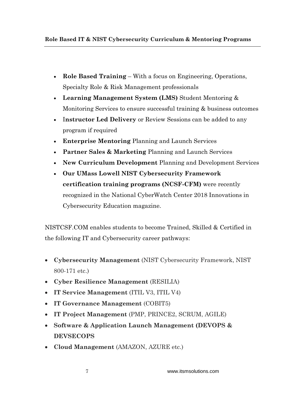- **Role Based Training** With a focus on Engineering, Operations, Specialty Role & Risk Management professionals
- **Learning Management System (LMS)** Student Mentoring & Monitoring Services to ensure successful training & business outcomes
- I**nstructor Led Delivery** or Review Sessions can be added to any program if required
- **Enterprise Mentoring** Planning and Launch Services
- **Partner Sales & Marketing** Planning and Launch Services
- **New Curriculum Development** Planning and Development Services
- **Our UMass Lowell NIST Cybersecurity Framework certification training programs (NCSF-CFM)** were recently recognized in the National CyberWatch Center 2018 Innovations in Cybersecurity Education magazine.

NISTCSF.COM enables students to become Trained, Skilled & Certified in the following IT and Cybersecurity career pathways:

- **Cybersecurity Management** (NIST Cybersecurity Framework, NIST 800-171 etc.)
- **Cyber Resilience Management** (RESILIA)
- **IT Service Management** (ITIL V3, ITIL V4)
- **IT Governance Management** (COBIT5)
- **IT Project Management** (PMP, PRINCE2, SCRUM, AGILE)
- **Software & Application Launch Management (DEVOPS & DEVSECOPS**
- **Cloud Management** (AMAZON, AZURE etc.)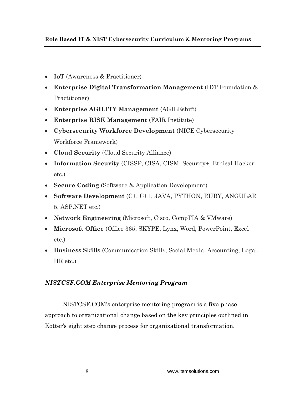- **IoT** (Awareness & Practitioner)
- **Enterprise Digital Transformation Management** (IDT Foundation & Practitioner)
- **Enterprise AGILITY Management** (AGILEshift)
- **Enterprise RISK Management** (FAIR Institute)
- **Cybersecurity Workforce Development** (NICE Cybersecurity Workforce Framework)
- **Cloud Security** (Cloud Security Alliance)
- **Information Security** (CISSP, CISA, CISM, Security+, Ethical Hacker etc.)
- **Secure Coding** (Software & Application Development)
- **Software Development** (C+, C++, JAVA, PYTHON, RUBY, ANGULAR 5, ASP.NET etc.)
- **Network Engineering** (Microsoft, Cisco, CompTIA & VMware)
- **Microsoft Office** (Office 365, SKYPE, Lynx, Word, PowerPoint, Excel etc.)
- **Business Skills** (Communication Skills, Social Media, Accounting, Legal, HR etc.)

# *NISTCSF.COM Enterprise Mentoring Program*

NISTCSF.COM's enterprise mentoring program is a five-phase approach to organizational change based on the key principles outlined in Kotter's eight step change process for organizational transformation.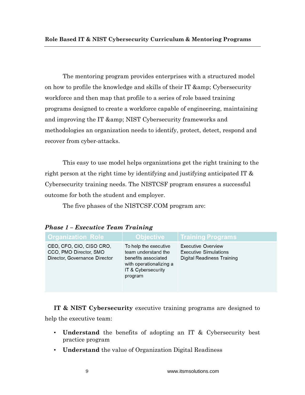The mentoring program provides enterprises with a structured model on how to profile the knowledge and skills of their IT & amp; Cybersecurity workforce and then map that profile to a series of role based training programs designed to create a workforce capable of engineering, maintaining and improving the IT & amp; NIST Cybersecurity frameworks and methodologies an organization needs to identify, protect, detect, respond and recover from cyber-attacks.

This easy to use model helps organizations get the right training to the right person at the right time by identifying and justifying anticipated IT & Cybersecurity training needs. The NISTCSF program ensures a successful outcome for both the student and employer.

The five phases of the NISTCSF.COM program are:

| <b>Organization Role</b>                                                            | <b>Objective</b>                                                                                                                | <b>Training Programs</b>                                                                       |  |  |
|-------------------------------------------------------------------------------------|---------------------------------------------------------------------------------------------------------------------------------|------------------------------------------------------------------------------------------------|--|--|
| CEO, CFO, CIO, CISO CRO,<br>CCO, PMO Director, SMO<br>Director, Governance Director | To help the executive<br>team understand the<br>benefits associated<br>with operationalizing a<br>IT & Cybersecurity<br>program | <b>Executive Overview</b><br><b>Executive Simulations</b><br><b>Digital Readiness Training</b> |  |  |

*Phase 1 – Executive Team Training*

**IT & NIST Cybersecurity** executive training programs are designed to help the executive team:

- **Understand** the benefits of adopting an IT & Cybersecurity best practice program
- **Understand** the value of Organization Digital Readiness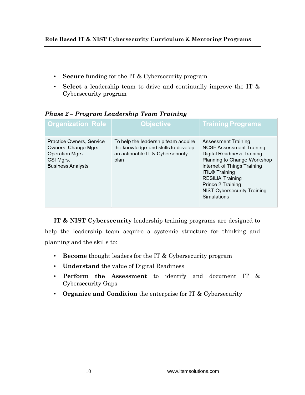- **Secure** funding for the IT & Cybersecurity program
- **Select** a leadership team to drive and continually improve the IT & Cybersecurity program

| <b>Organization Role</b>                                                                                     | <b>Objective</b>                                                                                                       | <b>Training Programs</b>                                                                                                                                                                                                                                                                |
|--------------------------------------------------------------------------------------------------------------|------------------------------------------------------------------------------------------------------------------------|-----------------------------------------------------------------------------------------------------------------------------------------------------------------------------------------------------------------------------------------------------------------------------------------|
| Practice Owners, Service<br>Owners, Change Mgrs.<br>Operation Mgrs.<br>CSI Mgrs.<br><b>Business Analysts</b> | To help the leadership team acquire<br>the knowledge and skills to develop<br>an actionable IT & Cybersecurity<br>plan | Assessment Training<br><b>NCSF Assessment Training</b><br><b>Digital Readiness Training</b><br>Planning to Change Workshop<br>Internet of Things Training<br><b>ITIL® Training</b><br><b>RESILIA Training</b><br>Prince 2 Training<br><b>NIST Cybersecurity Training</b><br>Simulations |

*Phase 2 – Program Leadership Team Training*

**IT & NIST Cybersecurity** leadership training programs are designed to help the leadership team acquire a systemic structure for thinking and planning and the skills to:

- **Become** thought leaders for the IT & Cybersecurity program
- **Understand** the value of Digital Readiness
- **Perform the Assessment** to identify and document IT & Cybersecurity Gaps
- **Organize and Condition** the enterprise for IT & Cybersecurity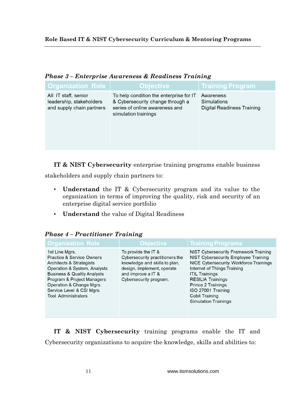| 1 IVWUU U<br><b>Enver processeur cheog &amp; steadhless Tranning</b>          |                                                                                                                                       |                                                        |  |  |
|-------------------------------------------------------------------------------|---------------------------------------------------------------------------------------------------------------------------------------|--------------------------------------------------------|--|--|
| <b>Organization Role</b>                                                      | <b>Objective</b>                                                                                                                      | <b>Training Program</b>                                |  |  |
| All IT staff, senior<br>leadership, stakeholders<br>and supply chain partners | To help condition the enterprise for IT<br>& Cybersecurity change through a<br>series of online awareness and<br>simulation trainings | Awareness<br>Simulations<br>Digital Readiness Training |  |  |

# *Phase 3 – Enterprise Awareness & Readiness Training*

**IT & NIST Cybersecurity** enterprise training programs enable business

stakeholders and supply chain partners to:

- **Understand** the IT & Cybersecurity program and its value to the organization in terms of improving the quality, risk and security of an enterprise digital service portfolio
- **Understand** the value of Digital Readiness

| <b>Organization Role</b>                                                                                                                                                                                                                                                          | <b>Objective</b>                                                                                                                                                      | <b>Training Programs</b>                                                                                                                                                                                                                                                                                               |
|-----------------------------------------------------------------------------------------------------------------------------------------------------------------------------------------------------------------------------------------------------------------------------------|-----------------------------------------------------------------------------------------------------------------------------------------------------------------------|------------------------------------------------------------------------------------------------------------------------------------------------------------------------------------------------------------------------------------------------------------------------------------------------------------------------|
| 1st Line Mgrs.<br><b>Practice &amp; Service Owners</b><br>Architects & Strategists<br>Operation & System, Analysts<br><b>Business &amp; Quality Analysts</b><br>Program & Project Managers<br>Operation & Change Mgrs.<br>Service Level & CSI Mgrs.<br><b>Tool Administrators</b> | To provide the IT &<br>Cybersecurity practitioners the<br>knowledge and skills to plan,<br>design, implement, operate<br>and improve a IT &<br>Cybersecurity program. | <b>NIST Cybersecurity Framework Training</b><br>NIST Cybersecurity Employee Training<br>NICE Cybersecurity Workforce Trainings<br>Internet of Things Training<br><b>ITIL Trainings</b><br><b>RESILIA Trainings</b><br>Prince 2 Trainings<br>ISO 27001 Training<br><b>Cobit Training</b><br><b>Simulation Trainings</b> |

# *Phase 4 – Practitioner Training*

**IT & NIST Cybersecurity** training programs enable the IT and Cybersecurity organizations to acquire the knowledge, skills and abilities to: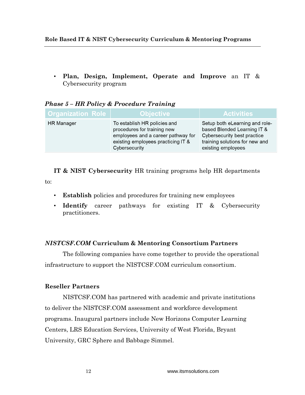• **Plan, Design, Implement, Operate and Improve** an IT & Cybersecurity program

| <b>Organization Role</b> | <b>Objective</b>                                                                                                                                         | <b>Activities</b>                                                                                                                                    |
|--------------------------|----------------------------------------------------------------------------------------------------------------------------------------------------------|------------------------------------------------------------------------------------------------------------------------------------------------------|
| <b>HR</b> Manager        | To establish HR policies and<br>procedures for training new<br>employees and a career pathway for<br>existing employees practicing IT &<br>Cybersecurity | Setup both eLearning and role-<br>based Blended Learning IT &<br>Cybersecurity best practice<br>training solutions for new and<br>existing employees |

# *Phase 5 – HR Policy & Procedure Training*

**IT & NIST Cybersecurity** HR training programs help HR departments

to:

- **Establish** policies and procedures for training new employees
- **Identify** career pathways for existing IT & Cybersecurity practitioners.

# *NISTCSF.COM* **Curriculum & Mentoring Consortium Partners**

The following companies have come together to provide the operational infrastructure to support the NISTCSF.COM curriculum consortium.

# **Reseller Partners**

NISTCSF.COM has partnered with academic and private institutions to deliver the NISTCSF.COM assessment and workforce development programs. Inaugural partners include New Horizons Computer Learning Centers, LRS Education Services, University of West Florida, Bryant University, GRC Sphere and Babbage Simmel.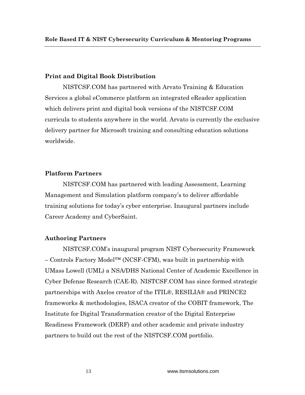### **Print and Digital Book Distribution**

NISTCSF.COM has partnered with Arvato Training & Education Services a global eCommerce platform an integrated eReader application which delivers print and digital book versions of the NISTCSF.COM curricula to students anywhere in the world. Arvato is currently the exclusive delivery partner for Microsoft training and consulting education solutions worldwide.

## **Platform Partners**

NISTCSF.COM has partnered with leading Assessment, Learning Management and Simulation platform company's to deliver affordable training solutions for today's cyber enterprise. Inaugural partners include Career Academy and CyberSaint.

#### **Authoring Partners**

NISTCSF.COM's inaugural program NIST Cybersecurity Framework – Controls Factory Model™ (NCSF-CFM), was built in partnership with UMass Lowell (UML) a NSA/DHS National Center of Academic Excellence in Cyber Defense Research (CAE-R). NISTCSF.COM has since formed strategic partnerships with Axelos creator of the ITIL®, RESILIA® and PRINCE2 frameworks & methodologies, ISACA creator of the COBIT framework, The Institute for Digital Transformation creator of the Digital Enterprise Readiness Framework (DERF) and other academic and private industry partners to build out the rest of the NISTCSF.COM portfolio.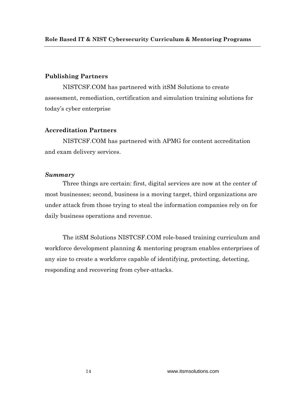# **Publishing Partners**

NISTCSF.COM has partnered with itSM Solutions to create assessment, remediation, certification and simulation training solutions for today's cyber enterprise

# **Accreditation Partners**

NISTCSF.COM has partnered with APMG for content accreditation and exam delivery services.

# *Summary*

Three things are certain: first, digital services are now at the center of most businesses; second, business is a moving target, third organizations are under attack from those trying to steal the information companies rely on for daily business operations and revenue.

The itSM Solutions NISTCSF.COM role-based training curriculum and workforce development planning & mentoring program enables enterprises of any size to create a workforce capable of identifying, protecting, detecting, responding and recovering from cyber-attacks.